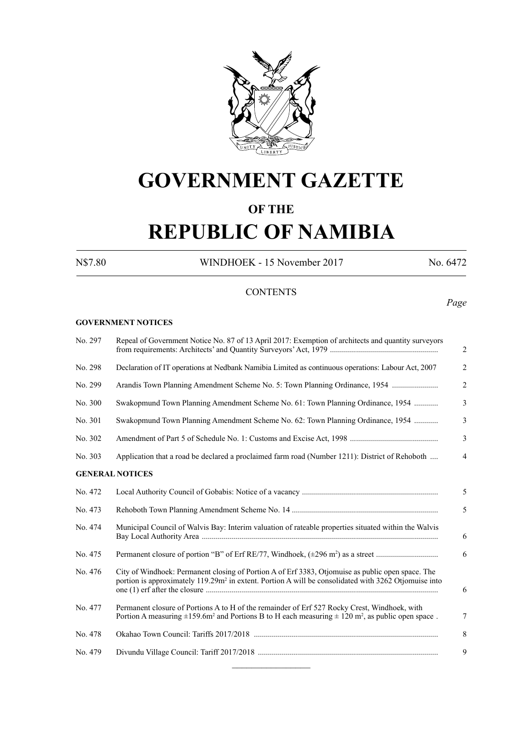

# **GOVERNMENT GAZETTE**

### **OF THE**

# **REPUBLIC OF NAMIBIA**

N\$7.80 WINDHOEK - 15 November 2017 No. 6472

#### **CONTENTS**

#### *Page*

#### **GOVERNMENT NOTICES**

| No. 297 | Repeal of Government Notice No. 87 of 13 April 2017: Exemption of architects and quantity surveyors                                                                                                                                | $\overline{2}$ |
|---------|------------------------------------------------------------------------------------------------------------------------------------------------------------------------------------------------------------------------------------|----------------|
| No. 298 | Declaration of IT operations at Nedbank Namibia Limited as continuous operations: Labour Act, 2007                                                                                                                                 | $\overline{c}$ |
| No. 299 | Arandis Town Planning Amendment Scheme No. 5: Town Planning Ordinance, 1954                                                                                                                                                        | $\overline{2}$ |
| No. 300 | Swakopmund Town Planning Amendment Scheme No. 61: Town Planning Ordinance, 1954                                                                                                                                                    | $\overline{3}$ |
| No. 301 | Swakopmund Town Planning Amendment Scheme No. 62: Town Planning Ordinance, 1954                                                                                                                                                    | $\overline{3}$ |
| No. 302 |                                                                                                                                                                                                                                    | 3              |
| No. 303 | Application that a road be declared a proclaimed farm road (Number 1211): District of Rehoboth                                                                                                                                     | $\overline{4}$ |
|         | <b>GENERAL NOTICES</b>                                                                                                                                                                                                             |                |
| No. 472 |                                                                                                                                                                                                                                    | 5              |
| No. 473 |                                                                                                                                                                                                                                    | 5              |
| No. 474 | Municipal Council of Walvis Bay: Interim valuation of rateable properties situated within the Walvis                                                                                                                               | 6              |
| No. 475 |                                                                                                                                                                                                                                    | 6              |
| No. 476 | City of Windhoek: Permanent closing of Portion A of Erf 3383, Otjomuise as public open space. The<br>portion is approximately 119.29m <sup>2</sup> in extent. Portion A will be consolidated with 3262 Otjomuise into              | 6              |
| No. 477 | Permanent closure of Portions A to H of the remainder of Erf 527 Rocky Crest, Windhoek, with<br>Portion A measuring $\pm 159.6$ m <sup>2</sup> and Portions B to H each measuring $\pm 120$ m <sup>2</sup> , as public open space. | $\tau$         |
| No. 478 |                                                                                                                                                                                                                                    | 8              |
| No. 479 |                                                                                                                                                                                                                                    | 9              |

 $\overline{\phantom{a}}$  , where  $\overline{\phantom{a}}$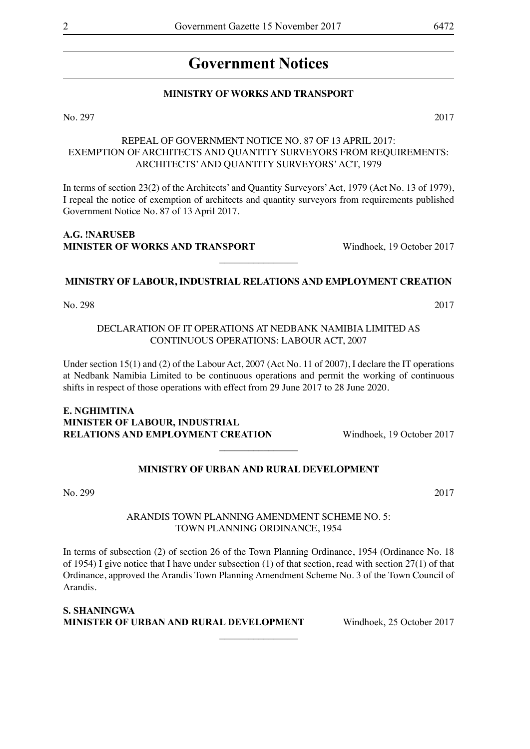## **Government Notices**

#### **MINISTRY OF WORKS AND TRANSPORT**

#### No. 297 2017

#### REPEAL OF GOVERNMENT NOTICE NO. 87 OF 13 APRIL 2017: EXEMPTION OF ARCHITECTS AND QUANTITY SURVEYORS FROM REQUIREMENTS: ARCHITECTS' AND QUANTITY SURVEYORS' ACT, 1979

In terms of section 23(2) of the Architects' and Quantity Surveyors' Act, 1979 (Act No. 13 of 1979), I repeal the notice of exemption of architects and quantity surveyors from requirements published Government Notice No. 87 of 13 April 2017.

 $\overline{\phantom{a}}$  , where  $\overline{\phantom{a}}$ 

**MINISTRY OF LABOUR, INDUSTRIAL RELATIONS AND EMPLOYMENT CREATION**

#### **A.G. !NARUSEB MINISTER OF WORKS AND TRANSPORT Windhoek, 19 October 2017**

No. 298 2017

DECLARATION OF IT OPERATIONS AT NEDBANK NAMIBIA LIMITED AS CONTINUOUS OPERATIONS: LABOUR ACT, 2007

Under section 15(1) and (2) of the Labour Act, 2007 (Act No. 11 of 2007), I declare the IT operations at Nedbank Namibia Limited to be continuous operations and permit the working of continuous shifts in respect of those operations with effect from 29 June 2017 to 28 June 2020.

#### **e. nghimtina MINISTER OF LABOUR, INDUSTRIAL RELATIONS AND EMPLOYMENT CREATION** Windhoek, 19 October 2017

#### **MINISTRY OF URBAN AND RURAL DEVELOPMENT**

 $\overline{\phantom{a}}$  , where  $\overline{\phantom{a}}$ 

No. 299 2017

#### ARANDIS TOWN PLANNING AMENDMENT SCHEME NO. 5: TOWN PLANNING ORDINANCE, 1954

In terms of subsection (2) of section 26 of the Town Planning Ordinance, 1954 (Ordinance No. 18 of 1954) I give notice that I have under subsection (1) of that section, read with section 27(1) of that Ordinance, approved the Arandis Town Planning Amendment Scheme No. 3 of the Town Council of Arandis.

 $\frac{1}{2}$ 

**S. Shaningwa Minister of Urban and Rural Development** Windhoek, 25 October 2017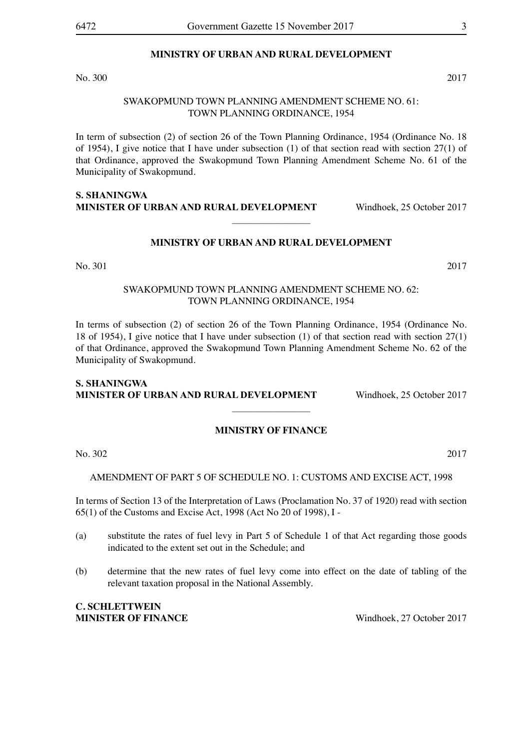#### **MINISTRY OF URBAN AND RURAL DEVELOPMENT**

No. 300 2017

#### SWAKOPMUND TOWN PLANNING AMENDMENT SCHEME NO. 61: TOWN PLANNING ORDINANCE, 1954

In term of subsection (2) of section 26 of the Town Planning Ordinance, 1954 (Ordinance No. 18 of 1954), I give notice that I have under subsection (1) of that section read with section 27(1) of that Ordinance, approved the Swakopmund Town Planning Amendment Scheme No. 61 of the Municipality of Swakopmund.

#### **S. Shaningwa Minister of Urban and Rural Development** Windhoek, 25 October 2017

#### **MINISTRY OF URBAN AND RURAL DEVELOPMENT**

 $\overline{\phantom{a}}$  , where  $\overline{\phantom{a}}$ 

No. 301 2017

#### SWAKOPMUND TOWN PLANNING AMENDMENT SCHEME NO. 62: TOWN PLANNING ORDINANCE, 1954

In terms of subsection (2) of section 26 of the Town Planning Ordinance, 1954 (Ordinance No. 18 of 1954), I give notice that I have under subsection (1) of that section read with section 27(1) of that Ordinance, approved the Swakopmund Town Planning Amendment Scheme No. 62 of the Municipality of Swakopmund.

#### **S. Shaningwa Minister of Urban and Rural Development** Windhoek, 25 October 2017

#### **MINISTRY OF FINANCE**

 $\frac{1}{2}$ 

No. 302 2017

#### AMENDMENT OF PART 5 OF SCHEDULE NO. 1: CUSTOMS AND EXCISE ACT, 1998

In terms of Section 13 of the Interpretation of Laws (Proclamation No. 37 of 1920) read with section 65(1) of the Customs and Excise Act, 1998 (Act No 20 of 1998), I -

- (a) substitute the rates of fuel levy in Part 5 of Schedule 1 of that Act regarding those goods indicated to the extent set out in the Schedule; and
- (b) determine that the new rates of fuel levy come into effect on the date of tabling of the relevant taxation proposal in the National Assembly.

**C. Schlettwein MINISTER OF FINANCE** Windhoek, 27 October 2017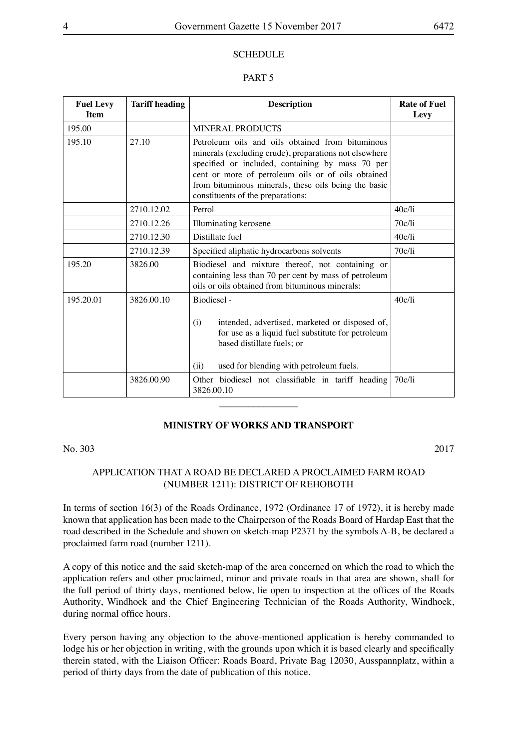#### **SCHEDULE**

#### PART 5

| <b>Fuel Levy</b><br><b>Item</b> | <b>Tariff heading</b> | <b>Description</b>                                                                                                                                                                                                                                                                                                | <b>Rate of Fuel</b><br>Levy |
|---------------------------------|-----------------------|-------------------------------------------------------------------------------------------------------------------------------------------------------------------------------------------------------------------------------------------------------------------------------------------------------------------|-----------------------------|
| 195.00                          |                       | MINERAL PRODUCTS                                                                                                                                                                                                                                                                                                  |                             |
| 195.10                          | 27.10                 | Petroleum oils and oils obtained from bituminous<br>minerals (excluding crude), preparations not elsewhere<br>specified or included, containing by mass 70 per<br>cent or more of petroleum oils or of oils obtained<br>from bituminous minerals, these oils being the basic<br>constituents of the preparations: |                             |
|                                 | 2710.12.02            | Petrol                                                                                                                                                                                                                                                                                                            | $40c/l$ i                   |
|                                 | 2710.12.26            | Illuminating kerosene                                                                                                                                                                                                                                                                                             | 70c/li                      |
|                                 | 2710.12.30            | Distillate fuel                                                                                                                                                                                                                                                                                                   | $40c/l$ i                   |
|                                 | 2710.12.39            | Specified aliphatic hydrocarbons solvents                                                                                                                                                                                                                                                                         | 70c/li                      |
| 195.20                          | 3826.00               | Biodiesel and mixture thereof, not containing or<br>containing less than 70 per cent by mass of petroleum<br>oils or oils obtained from bituminous minerals:                                                                                                                                                      |                             |
| 195.20.01                       | 3826.00.10            | Biodiesel -<br>intended, advertised, marketed or disposed of,<br>(i)<br>for use as a liquid fuel substitute for petroleum<br>based distillate fuels; or<br>used for blending with petroleum fuels.<br>(ii)                                                                                                        | 40c/l                       |
|                                 | 3826.00.90            | Other biodiesel not classifiable in tariff heading<br>3826.00.10                                                                                                                                                                                                                                                  | 70c/l                       |

#### **MINISTRY OF WORKS AND TRANSPORT**

 $\frac{1}{2}$ 

No. 303 2017

#### APPLICATION THAT A ROAD BE DECLARED A PROCLAIMED FARM ROAD (NUMBER 1211): DISTRICT OF REHOBOTH

In terms of section 16(3) of the Roads Ordinance, 1972 (Ordinance 17 of 1972), it is hereby made known that application has been made to the Chairperson of the Roads Board of Hardap East that the road described in the Schedule and shown on sketch-map P2371 by the symbols A-B, be declared a proclaimed farm road (number 1211).

A copy of this notice and the said sketch-map of the area concerned on which the road to which the application refers and other proclaimed, minor and private roads in that area are shown, shall for the full period of thirty days, mentioned below, lie open to inspection at the offices of the Roads Authority, Windhoek and the Chief Engineering Technician of the Roads Authority, Windhoek, during normal office hours.

Every person having any objection to the above-mentioned application is hereby commanded to lodge his or her objection in writing, with the grounds upon which it is based clearly and specifically therein stated, with the Liaison Officer: Roads Board, Private Bag 12030, Ausspannplatz, within a period of thirty days from the date of publication of this notice.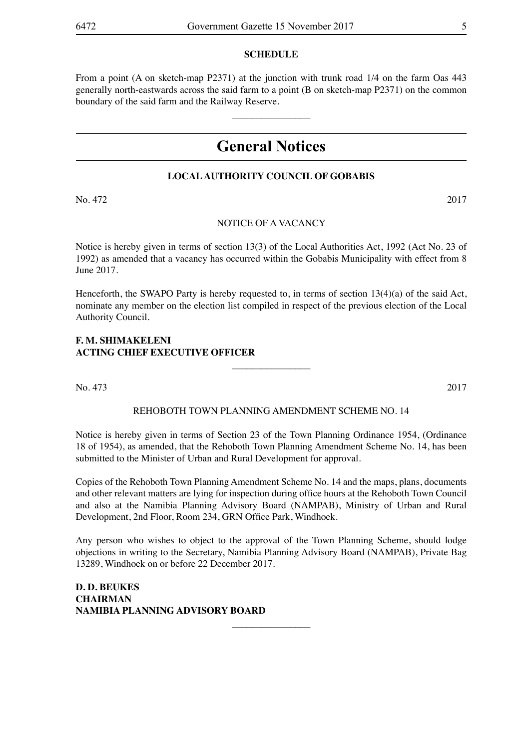#### **SCHEDULE**

From a point (A on sketch-map P2371) at the junction with trunk road  $1/4$  on the farm Oas 443 generally north-eastwards across the said farm to a point (B on sketch-map P2371) on the common boundary of the said farm and the Railway Reserve.

 $\overline{\phantom{a}}$  , where  $\overline{\phantom{a}}$ 

# **General Notices**

#### **LOCAL AUTHORITY COUNCIL OF GOBABIS**

No. 472 2017

#### NOTICE OF A VACANCY

Notice is hereby given in terms of section 13(3) of the Local Authorities Act, 1992 (Act No. 23 of 1992) as amended that a vacancy has occurred within the Gobabis Municipality with effect from 8 June 2017.

Henceforth, the SWAPO Party is hereby requested to, in terms of section 13(4)(a) of the said Act, nominate any member on the election list compiled in respect of the previous election of the Local Authority Council.

#### **F. M. SHIMAKELENI ACTING CHIEF EXECUTIVE OFFICER**

No. 473 2017

#### REHOBOTH TOWN PLANNING AMENDMENT SCHEME NO. 14

 $\frac{1}{2}$ 

Notice is hereby given in terms of Section 23 of the Town Planning Ordinance 1954, (Ordinance 18 of 1954), as amended, that the Rehoboth Town Planning Amendment Scheme No. 14, has been submitted to the Minister of Urban and Rural Development for approval.

Copies of the Rehoboth Town Planning Amendment Scheme No. 14 and the maps, plans, documents and other relevant matters are lying for inspection during office hours at the Rehoboth Town Council and also at the Namibia Planning Advisory Board (NAMPAB), Ministry of Urban and Rural Development, 2nd Floor, Room 234, GRN Office Park, Windhoek.

Any person who wishes to object to the approval of the Town Planning Scheme, should lodge objections in writing to the Secretary, Namibia Planning Advisory Board (NAMPAB), Private Bag 13289, Windhoek on or before 22 December 2017.

 $\frac{1}{2}$ 

**D. D. BEUKES CHAIRMAN NAMIBIA PLANNING ADVISORY BOARD**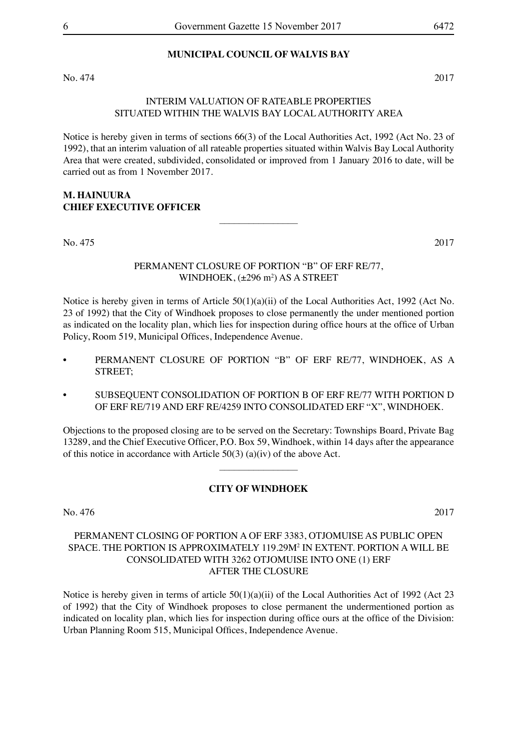#### **MUNICIPAL COUNCIL OF WALVIS BAY**

No. 474 2017

#### INTERIM VALUATION OF RATEABLE PROPERTIES SITUATED WITHIN THE WALVIS BAY LOCAL AUTHORITY AREA

Notice is hereby given in terms of sections 66(3) of the Local Authorities Act, 1992 (Act No. 23 of 1992), that an interim valuation of all rateable properties situated within Walvis Bay Local Authority Area that were created, subdivided, consolidated or improved from 1 January 2016 to date, will be carried out as from 1 November 2017.

#### **M. HAINUURA CHIEF EXECUTIVE OFFICER**

No. 475 2017

#### PERMANENT CLOSURE OF PORTION "B" OF ERF RE/77, WINDHOEK,  $(\pm 296 \text{ m}^2)$  AS A STREET

 $\overline{\phantom{a}}$  , where  $\overline{\phantom{a}}$ 

Notice is hereby given in terms of Article  $50(1)(a)(ii)$  of the Local Authorities Act, 1992 (Act No. 23 of 1992) that the City of Windhoek proposes to close permanently the under mentioned portion as indicated on the locality plan, which lies for inspection during office hours at the office of Urban Policy, Room 519, Municipal Offices, Independence Avenue.

- PERMANENT CLOSURE OF PORTION "B" OF ERF RE/77, WINDHOEK, AS A STREET;
- SUBSEQUENT CONSOLIDATION OF PORTION B OF ERF RE/77 WITH PORTION D OF ERF RE/719 AND ERF RE/4259 INTO CONSOLIDATED ERF "X", WINDHOEK.

Objections to the proposed closing are to be served on the Secretary: Townships Board, Private Bag 13289, and the Chief Executive Officer, P.O. Box 59, Windhoek, within 14 days after the appearance of this notice in accordance with Article 50(3) (a)(iv) of the above Act.

#### **CITY OF WINDHOEK**

 $\frac{1}{2}$ 

No. 476 2017

#### PERMANENT CLOSING OF PORTION A OF ERF 3383, OTJOMUISE AS PUBLIC OPEN SPACE. THE PORTION IS APPROXIMATELY 119.29M2 IN EXTENT. PORTION A WILL BE CONSOLIDATED WITH 3262 OTJOMUISE INTO ONE (1) ERF AFTER THE CLOSURE

Notice is hereby given in terms of article  $50(1)(a)(ii)$  of the Local Authorities Act of 1992 (Act 23 of 1992) that the City of Windhoek proposes to close permanent the undermentioned portion as indicated on locality plan, which lies for inspection during office ours at the office of the Division: Urban Planning Room 515, Municipal Offices, Independence Avenue.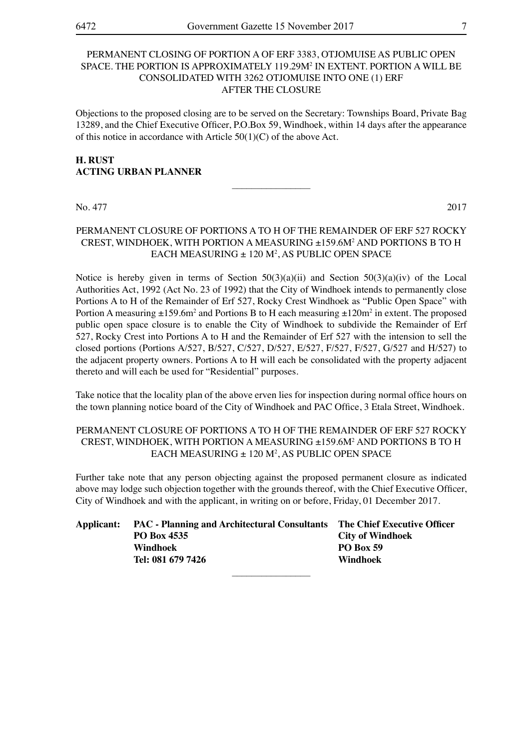#### PERMANENT CLOSING OF PORTION A OF ERF 3383, OTJOMUISE AS PUBLIC OPEN SPACE. THE PORTION IS APPROXIMATELY 119.29M2 IN EXTENT. PORTION A WILL BE CONSOLIDATED WITH 3262 OTJOMUISE INTO ONE (1) ERF AFTER THE CLOSURE

Objections to the proposed closing are to be served on the Secretary: Townships Board, Private Bag 13289, and the Chief Executive Officer, P.O.Box 59, Windhoek, within 14 days after the appearance of this notice in accordance with Article  $50(1)(C)$  of the above Act.

#### **H. RUST ACTING URBAN PLANNER**

No. 477 2017

#### PERMANENT CLOSURE OF PORTIONS A TO H OF THE REMAINDER OF ERF 527 ROCKY CREST, WINDHOEK, WITH PORTION A MEASURING ±159.6M2 AND PORTIONS B TO H EACH MEASURING ± 120 M2 , AS PUBLIC OPEN SPACE

 $\frac{1}{2}$ 

Notice is hereby given in terms of Section  $50(3)(a)(ii)$  and Section  $50(3)(a)(iv)$  of the Local Authorities Act, 1992 (Act No. 23 of 1992) that the City of Windhoek intends to permanently close Portions A to H of the Remainder of Erf 527, Rocky Crest Windhoek as "Public Open Space" with Portion A measuring  $\pm 159.6$ m<sup>2</sup> and Portions B to H each measuring  $\pm 120$ m<sup>2</sup> in extent. The proposed public open space closure is to enable the City of Windhoek to subdivide the Remainder of Erf 527, Rocky Crest into Portions A to H and the Remainder of Erf 527 with the intension to sell the closed portions (Portions A/527, B/527, C/527, D/527, E/527, F/527, F/527, G/527 and H/527) to the adjacent property owners. Portions A to H will each be consolidated with the property adjacent thereto and will each be used for "Residential" purposes.

Take notice that the locality plan of the above erven lies for inspection during normal office hours on the town planning notice board of the City of Windhoek and PAC Office, 3 Etala Street, Windhoek.

#### PERMANENT CLOSURE OF PORTIONS A TO H OF THE REMAINDER OF ERF 527 ROCKY CREST, WINDHOEK, WITH PORTION A MEASURING ±159.6M2 AND PORTIONS B TO H EACH MEASURING ± 120 M2 , AS PUBLIC OPEN SPACE

Further take note that any person objecting against the proposed permanent closure as indicated above may lodge such objection together with the grounds thereof, with the Chief Executive Officer, City of Windhoek and with the applicant, in writing on or before, Friday, 01 December 2017.

| Applicant: | <b>PAC - Planning and Architectural Consultants The Chief Executive Officer</b> |                         |
|------------|---------------------------------------------------------------------------------|-------------------------|
|            | PO Box 4535                                                                     | <b>City of Windhoek</b> |
|            | Windhoek                                                                        | <b>PO Box 59</b>        |
|            | Tel: 081 679 7426                                                               | Windhoek                |
|            |                                                                                 |                         |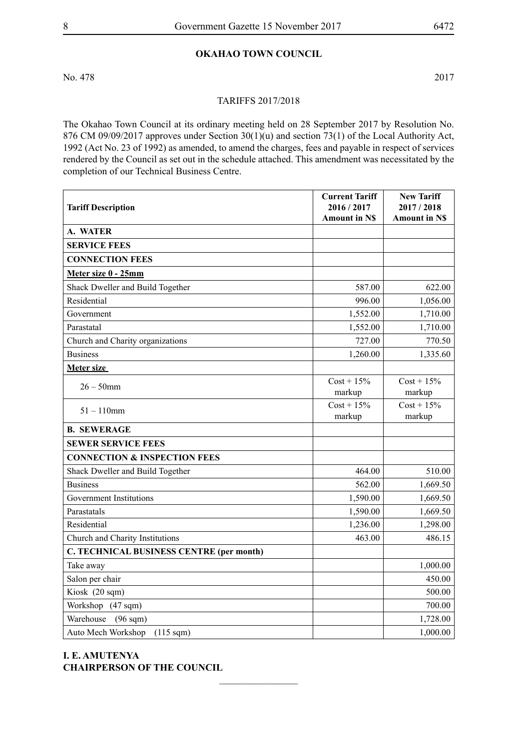#### **Okahao Town Council**

No. 478 2017

#### TARIFFS 2017/2018

The Okahao Town Council at its ordinary meeting held on 28 September 2017 by Resolution No. 876 CM 09/09/2017 approves under Section 30(1)(u) and section 73(1) of the Local Authority Act, 1992 (Act No. 23 of 1992) as amended, to amend the charges, fees and payable in respect of services rendered by the Council as set out in the schedule attached. This amendment was necessitated by the completion of our Technical Business Centre.

| <b>Tariff Description</b>                       | <b>Current Tariff</b><br>2016/2017<br><b>Amount in NS</b> | <b>New Tariff</b><br>2017 / 2018<br><b>Amount in NS</b> |
|-------------------------------------------------|-----------------------------------------------------------|---------------------------------------------------------|
| A. WATER                                        |                                                           |                                                         |
| <b>SERVICE FEES</b>                             |                                                           |                                                         |
| <b>CONNECTION FEES</b>                          |                                                           |                                                         |
| Meter size 0 - 25mm                             |                                                           |                                                         |
| Shack Dweller and Build Together                | 587.00                                                    | 622.00                                                  |
| Residential                                     | 996.00                                                    | 1,056.00                                                |
| Government                                      | 1,552.00                                                  | 1,710.00                                                |
| Parastatal                                      | 1,552.00                                                  | 1,710.00                                                |
| Church and Charity organizations                | 727.00                                                    | 770.50                                                  |
| <b>Business</b>                                 | 1,260.00                                                  | 1,335.60                                                |
| Meter size                                      |                                                           |                                                         |
| $26 - 50$ mm                                    | $Cost + 15\%$<br>markup                                   | $Cost + 15\%$<br>markup                                 |
| $51 - 110$ mm                                   | $Cost + 15\%$<br>markup                                   | $Cost + 15\%$<br>markup                                 |
| <b>B. SEWERAGE</b>                              |                                                           |                                                         |
| <b>SEWER SERVICE FEES</b>                       |                                                           |                                                         |
| <b>CONNECTION &amp; INSPECTION FEES</b>         |                                                           |                                                         |
| Shack Dweller and Build Together                | 464.00                                                    | 510.00                                                  |
| <b>Business</b>                                 | 562.00                                                    | 1,669.50                                                |
| <b>Government Institutions</b>                  | 1,590.00                                                  | 1,669.50                                                |
| Parastatals                                     | 1,590.00                                                  | 1,669.50                                                |
| Residential                                     | 1,236.00                                                  | 1,298.00                                                |
| Church and Charity Institutions                 | 463.00                                                    | 486.15                                                  |
| <b>C. TECHNICAL BUSINESS CENTRE (per month)</b> |                                                           |                                                         |
| Take away                                       |                                                           | 1,000.00                                                |
| Salon per chair                                 |                                                           | 450.00                                                  |
| Kiosk (20 sqm)                                  |                                                           | 500.00                                                  |
| Workshop (47 sqm)                               |                                                           | 700.00                                                  |
| Warehouse<br>$(96 \text{ sqm})$                 |                                                           | 1,728.00                                                |
| Auto Mech Workshop<br>$(115 \text{ sqm})$       |                                                           | 1,000.00                                                |

 $\overline{\phantom{a}}$  , where  $\overline{\phantom{a}}$ 

#### **I. E. Amutenya CHAIRPERSON OF THE COUNCIL**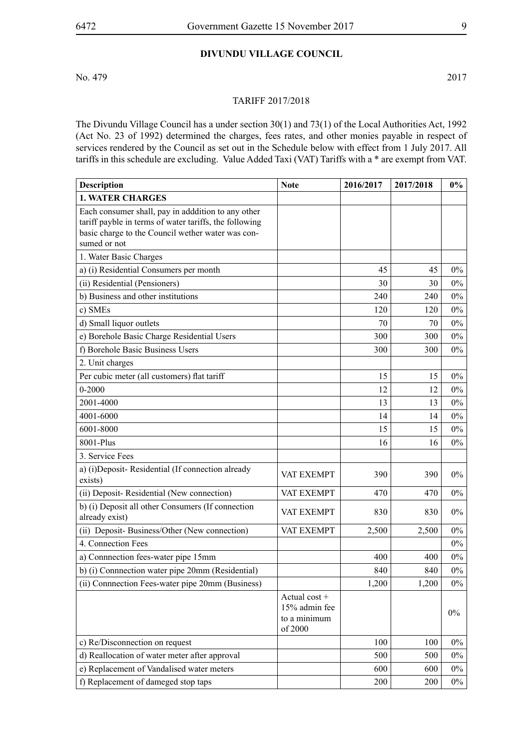#### **DIVUNDU VILLAGE COUNCIL**

No. 479 2017

#### TARIFF 2017/2018

The Divundu Village Council has a under section 30(1) and 73(1) of the Local Authorities Act, 1992 (Act No. 23 of 1992) determined the charges, fees rates, and other monies payable in respect of services rendered by the Council as set out in the Schedule below with effect from 1 July 2017. All tariffs in this schedule are excluding. Value Added Taxi (VAT) Tariffs with a \* are exempt from VAT.

| Description                                                                                                                                                                       | <b>Note</b>                                               | 2016/2017 | 2017/2018 | $0\%$ |
|-----------------------------------------------------------------------------------------------------------------------------------------------------------------------------------|-----------------------------------------------------------|-----------|-----------|-------|
| <b>1. WATER CHARGES</b>                                                                                                                                                           |                                                           |           |           |       |
| Each consumer shall, pay in adddition to any other<br>tariff payble in terms of water tariffs, the following<br>basic charge to the Council wether water was con-<br>sumed or not |                                                           |           |           |       |
| 1. Water Basic Charges                                                                                                                                                            |                                                           |           |           |       |
| a) (i) Residential Consumers per month                                                                                                                                            |                                                           | 45        | 45        | $0\%$ |
| (ii) Residential (Pensioners)                                                                                                                                                     |                                                           | 30        | 30        | $0\%$ |
| b) Business and other institutions                                                                                                                                                |                                                           | 240       | 240       | $0\%$ |
| c) SMEs                                                                                                                                                                           |                                                           | 120       | 120       | $0\%$ |
| d) Small liquor outlets                                                                                                                                                           |                                                           | 70        | 70        | $0\%$ |
| e) Borehole Basic Charge Residential Users                                                                                                                                        |                                                           | 300       | 300       | $0\%$ |
| f) Borehole Basic Business Users                                                                                                                                                  |                                                           | 300       | 300       | $0\%$ |
| 2. Unit charges                                                                                                                                                                   |                                                           |           |           |       |
| Per cubic meter (all customers) flat tariff                                                                                                                                       |                                                           | 15        | 15        | $0\%$ |
| $0 - 2000$                                                                                                                                                                        |                                                           | 12        | 12        | $0\%$ |
| 2001-4000                                                                                                                                                                         |                                                           | 13        | 13        | $0\%$ |
| 4001-6000                                                                                                                                                                         |                                                           | 14        | 14        | $0\%$ |
| 6001-8000                                                                                                                                                                         |                                                           | 15        | 15        | $0\%$ |
| 8001-Plus                                                                                                                                                                         |                                                           | 16        | 16        | $0\%$ |
| 3. Service Fees                                                                                                                                                                   |                                                           |           |           |       |
| a) (i) Deposit-Residential (If connection already<br>exists)                                                                                                                      | VAT EXEMPT                                                | 390       | 390       | $0\%$ |
| (ii) Deposit- Residential (New connection)                                                                                                                                        | VAT EXEMPT                                                | 470       | 470       | $0\%$ |
| b) (i) Deposit all other Consumers (If connection<br>already exist)                                                                                                               | VAT EXEMPT                                                | 830       | 830       | $0\%$ |
| (ii) Deposit- Business/Other (New connection)                                                                                                                                     | VAT EXEMPT                                                | 2,500     | 2,500     | $0\%$ |
| 4. Connection Fees                                                                                                                                                                |                                                           |           |           | $0\%$ |
| a) Connnection fees-water pipe 15mm                                                                                                                                               |                                                           | 400       | 400       | $0\%$ |
| b) (i) Connnection water pipe 20mm (Residential)                                                                                                                                  |                                                           | 840       | 840       | $0\%$ |
| (ii) Connnection Fees-water pipe 20mm (Business)                                                                                                                                  |                                                           | 1,200     | 1,200     | $0\%$ |
|                                                                                                                                                                                   | Actual cost +<br>15% admin fee<br>to a minimum<br>of 2000 |           |           | $0\%$ |
| c) Re/Disconnection on request                                                                                                                                                    |                                                           | 100       | 100       | $0\%$ |
| d) Reallocation of water meter after approval                                                                                                                                     |                                                           | 500       | 500       | $0\%$ |
| e) Replacement of Vandalised water meters                                                                                                                                         |                                                           | 600       | 600       | $0\%$ |
| f) Replacement of dameged stop taps                                                                                                                                               |                                                           | 200       | 200       | $0\%$ |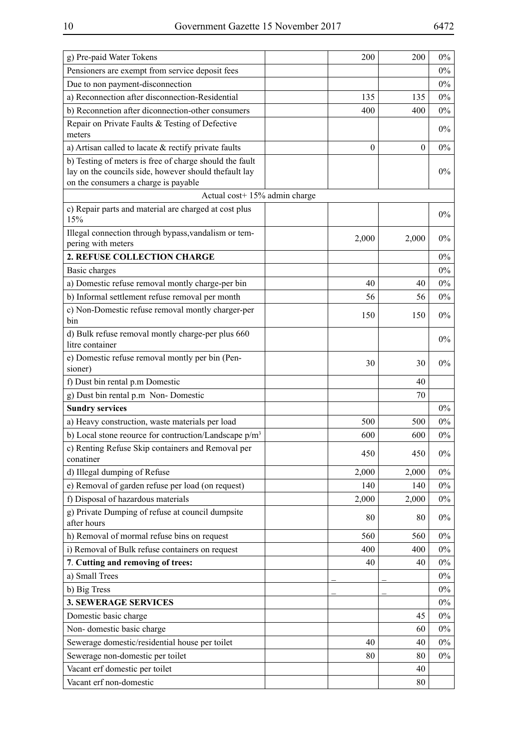| g) Pre-paid Water Tokens                                                                                                                                 | 200      | 200          | $0\%$ |
|----------------------------------------------------------------------------------------------------------------------------------------------------------|----------|--------------|-------|
| Pensioners are exempt from service deposit fees                                                                                                          |          |              | $0\%$ |
| Due to non payment-disconnection                                                                                                                         |          |              | $0\%$ |
| a) Reconnection after disconnection-Residential                                                                                                          | 135      | 135          | $0\%$ |
| b) Reconnetion after diconnection-other consumers                                                                                                        | 400      | 400          | $0\%$ |
| Repair on Private Faults & Testing of Defective<br>meters                                                                                                |          |              | $0\%$ |
| a) Artisan called to lacate $&$ rectify private faults                                                                                                   | $\theta$ | $\mathbf{0}$ | 0%    |
| b) Testing of meters is free of charge should the fault<br>lay on the councils side, however should thefault lay<br>on the consumers a charge is payable |          |              | $0\%$ |
| Actual cost+ 15% admin charge                                                                                                                            |          |              |       |
| c) Repair parts and material are charged at cost plus<br>15%                                                                                             |          |              | $0\%$ |
| Illegal connection through bypass, vandalism or tem-<br>pering with meters                                                                               | 2,000    | 2,000        | $0\%$ |
| 2. REFUSE COLLECTION CHARGE                                                                                                                              |          |              | $0\%$ |
| Basic charges                                                                                                                                            |          |              | $0\%$ |
| a) Domestic refuse removal montly charge-per bin                                                                                                         | 40       | 40           | $0\%$ |
| b) Informal settlement refuse removal per month                                                                                                          | 56       | 56           | $0\%$ |
| c) Non-Domestic refuse removal montly charger-per<br>bin                                                                                                 | 150      | 150          | $0\%$ |
| d) Bulk refuse removal montly charge-per plus 660<br>litre container                                                                                     |          |              | $0\%$ |
| e) Domestic refuse removal montly per bin (Pen-<br>sioner)                                                                                               | 30       | 30           | $0\%$ |
| f) Dust bin rental p.m Domestic                                                                                                                          |          | 40           |       |
| g) Dust bin rental p.m Non- Domestic                                                                                                                     |          | 70           |       |
| <b>Sundry services</b>                                                                                                                                   |          |              | $0\%$ |
| a) Heavy construction, waste materials per load                                                                                                          | 500      | 500          | $0\%$ |
| b) Local stone reource for contruction/Landscape p/m <sup>3</sup>                                                                                        | 600      | 600          | $0\%$ |
| c) Renting Refuse Skip containers and Removal per<br>conatiner                                                                                           | 450      | 450          | $0\%$ |
| d) Illegal dumping of Refuse                                                                                                                             | 2,000    | 2,000        | $0\%$ |
| e) Removal of garden refuse per load (on request)                                                                                                        | 140      | 140          | $0\%$ |
| f) Disposal of hazardous materials                                                                                                                       | 2,000    | 2,000        | $0\%$ |
| g) Private Dumping of refuse at council dumpsite<br>after hours                                                                                          | 80       | 80           | $0\%$ |
| h) Removal of mormal refuse bins on request                                                                                                              | 560      | 560          | $0\%$ |
| i) Removal of Bulk refuse containers on request                                                                                                          | 400      | 400          | $0\%$ |
| 7. Cutting and removing of trees:                                                                                                                        | 40       | 40           | $0\%$ |
| a) Small Trees                                                                                                                                           |          |              | $0\%$ |
| b) Big Tress                                                                                                                                             |          |              | $0\%$ |
| <b>3. SEWERAGE SERVICES</b>                                                                                                                              |          |              | $0\%$ |
| Domestic basic charge                                                                                                                                    |          | 45           | $0\%$ |
| Non-domestic basic charge                                                                                                                                |          | 60           | $0\%$ |
| Sewerage domestic/residential house per toilet                                                                                                           | 40       | 40           | $0\%$ |
| Sewerage non-domestic per toilet                                                                                                                         | 80       | 80           | $0\%$ |
| Vacant erf domestic per toilet                                                                                                                           |          | 40           |       |
| Vacant erf non-domestic                                                                                                                                  |          | 80           |       |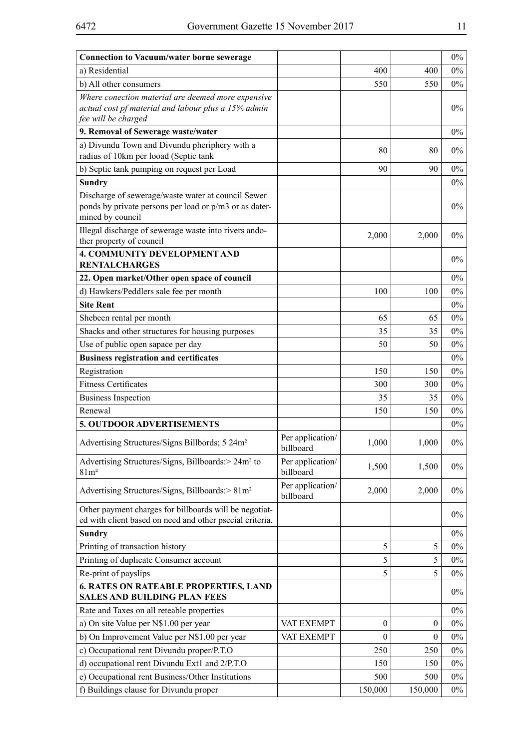| <b>Connection to Vacuum/water borne sewerage</b>                                                                                 |                               |                  |                  | $0\%$ |
|----------------------------------------------------------------------------------------------------------------------------------|-------------------------------|------------------|------------------|-------|
| a) Residential                                                                                                                   |                               | 400              | 400              | $0\%$ |
| b) All other consumers                                                                                                           |                               | 550              | 550              | $0\%$ |
| Where conection material are deemed more expensive<br>actual cost pf material and labour plus a 15% admin<br>fee will be charged |                               |                  |                  | $0\%$ |
| 9. Removal of Sewerage waste/water                                                                                               |                               |                  |                  | $0\%$ |
| a) Divundu Town and Divundu pheriphery with a<br>radius of 10km per looad (Septic tank                                           |                               | 80               | 80               | 0%    |
| b) Septic tank pumping on request per Load                                                                                       |                               | 90               | 90               | $0\%$ |
| <b>Sundry</b>                                                                                                                    |                               |                  |                  | 0%    |
| Discharge of sewerage/waste water at council Sewer<br>ponds by private persons per load or p/m3 or as dater-<br>mined by council |                               |                  |                  | 0%    |
| Illegal discharge of sewerage waste into rivers ando-<br>ther property of council                                                |                               | 2,000            | 2,000            | 0%    |
| <b>4. COMMUNITY DEVELOPMENT AND</b><br><b>RENTALCHARGES</b>                                                                      |                               |                  |                  | 0%    |
| 22. Open market/Other open space of council                                                                                      |                               |                  |                  | 0%    |
| d) Hawkers/Peddlers sale fee per month                                                                                           |                               | 100              | 100              | $0\%$ |
| <b>Site Rent</b>                                                                                                                 |                               |                  |                  | 0%    |
| Shebeen rental per month                                                                                                         |                               | 65               | 65               | $0\%$ |
| Shacks and other structures for housing purposes                                                                                 |                               | 35               | 35               | 0%    |
| Use of public open sapace per day                                                                                                |                               | 50               | 50               | $0\%$ |
| <b>Business registration and certificates</b>                                                                                    |                               |                  |                  | $0\%$ |
| Registration                                                                                                                     |                               | 150              | 150              | $0\%$ |
| <b>Fitness Certificates</b>                                                                                                      |                               | 300              | 300              | $0\%$ |
| <b>Business Inspection</b>                                                                                                       |                               | 35               | 35               | $0\%$ |
| Renewal                                                                                                                          |                               | 150              | 150              | $0\%$ |
| 5. OUTDOOR ADVERTISEMENTS                                                                                                        |                               |                  |                  | $0\%$ |
| Advertising Structures/Signs Billbords; 5 24m <sup>2</sup>                                                                       | Per application/<br>billboard | 1,000            | 1,000            | $0\%$ |
| Advertising Structures/Signs, Billboards:> 24m <sup>2</sup> to<br>81m <sup>2</sup>                                               | Per application/<br>billboard | 1,500            | 1,500            | $0\%$ |
| Advertising Structures/Signs, Billboards:> 81m <sup>2</sup>                                                                      | Per application/<br>billboard | 2,000            | 2,000            | $0\%$ |
| Other payment charges for billboards will be negotiat-<br>ed with client based on need and other psecial criteria.               |                               |                  |                  | $0\%$ |
| <b>Sundry</b>                                                                                                                    |                               |                  |                  | $0\%$ |
| Printing of transaction history                                                                                                  |                               | 5                | 5                | $0\%$ |
| Printing of duplicate Consumer account                                                                                           |                               | 5                | 5                | $0\%$ |
| Re-print of payslips                                                                                                             |                               | 5                | 5                | $0\%$ |
| <b>6. RATES ON RATEABLE PROPERTIES, LAND</b><br><b>SALES AND BUILDING PLAN FEES</b>                                              |                               |                  |                  | $0\%$ |
| Rate and Taxes on all reteable properties                                                                                        |                               |                  |                  | $0\%$ |
| a) On site Value per N\$1.00 per year                                                                                            | VAT EXEMPT                    | $\boldsymbol{0}$ | $\boldsymbol{0}$ | $0\%$ |
| b) On Improvement Value per N\$1.00 per year                                                                                     | VAT EXEMPT                    | $\mathbf{0}$     | $\boldsymbol{0}$ | $0\%$ |
| c) Occupational rent Divundu proper/P.T.O                                                                                        |                               | 250              | 250              | $0\%$ |
| d) occupational rent Divundu Ext1 and 2/P.T.O                                                                                    |                               | 150              | 150              | $0\%$ |
| e) Occupational rent Business/Other Institutions                                                                                 |                               | 500              | 500              | $0\%$ |
| f) Buildings clause for Divundu proper                                                                                           |                               | 150,000          | 150,000          | $0\%$ |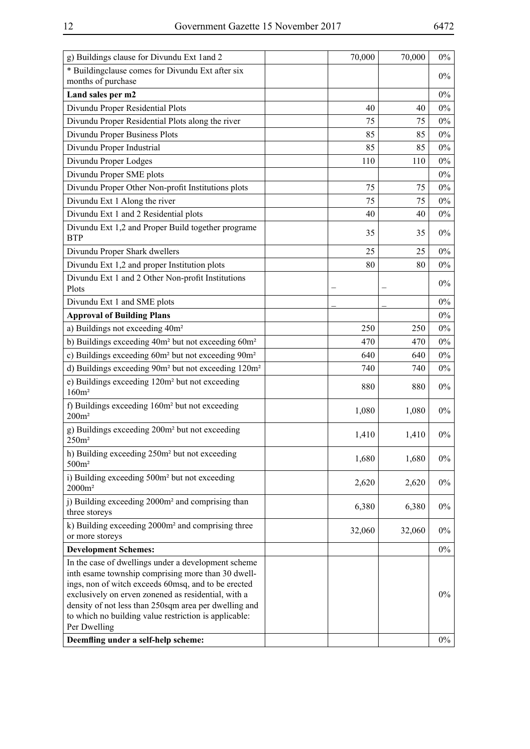| g) Buildings clause for Divundu Ext 1 and 2                                                                                                                                                                                                                                                                                                               | 70,000 | 70,000 | $0\%$ |
|-----------------------------------------------------------------------------------------------------------------------------------------------------------------------------------------------------------------------------------------------------------------------------------------------------------------------------------------------------------|--------|--------|-------|
| * Buildingclause comes for Divundu Ext after six                                                                                                                                                                                                                                                                                                          |        |        | $0\%$ |
| months of purchase                                                                                                                                                                                                                                                                                                                                        |        |        |       |
| Land sales per m2                                                                                                                                                                                                                                                                                                                                         |        |        | $0\%$ |
| Divundu Proper Residential Plots                                                                                                                                                                                                                                                                                                                          | 40     | 40     | $0\%$ |
| Divundu Proper Residential Plots along the river                                                                                                                                                                                                                                                                                                          | 75     | 75     | $0\%$ |
| Divundu Proper Business Plots                                                                                                                                                                                                                                                                                                                             | 85     | 85     | $0\%$ |
| Divundu Proper Industrial                                                                                                                                                                                                                                                                                                                                 | 85     | 85     | $0\%$ |
| Divundu Proper Lodges                                                                                                                                                                                                                                                                                                                                     | 110    | 110    | $0\%$ |
| Divundu Proper SME plots                                                                                                                                                                                                                                                                                                                                  |        |        | $0\%$ |
| Divundu Proper Other Non-profit Institutions plots                                                                                                                                                                                                                                                                                                        | 75     | 75     | $0\%$ |
| Divundu Ext 1 Along the river                                                                                                                                                                                                                                                                                                                             | 75     | 75     | $0\%$ |
| Divundu Ext 1 and 2 Residential plots                                                                                                                                                                                                                                                                                                                     | 40     | 40     | $0\%$ |
| Divundu Ext 1,2 and Proper Build together programe<br><b>BTP</b>                                                                                                                                                                                                                                                                                          | 35     | 35     | $0\%$ |
| Divundu Proper Shark dwellers                                                                                                                                                                                                                                                                                                                             | 25     | 25     | $0\%$ |
| Divundu Ext 1,2 and proper Institution plots                                                                                                                                                                                                                                                                                                              | 80     | 80     | $0\%$ |
| Divundu Ext 1 and 2 Other Non-profit Institutions<br>Plots                                                                                                                                                                                                                                                                                                |        |        | $0\%$ |
| Divundu Ext 1 and SME plots                                                                                                                                                                                                                                                                                                                               |        |        | $0\%$ |
| <b>Approval of Building Plans</b>                                                                                                                                                                                                                                                                                                                         |        |        | $0\%$ |
| a) Buildings not exceeding 40m <sup>2</sup>                                                                                                                                                                                                                                                                                                               | 250    | 250    | $0\%$ |
| b) Buildings exceeding 40m <sup>2</sup> but not exceeding 60m <sup>2</sup>                                                                                                                                                                                                                                                                                | 470    | 470    | $0\%$ |
| c) Buildings exceeding 60m <sup>2</sup> but not exceeding 90m <sup>2</sup>                                                                                                                                                                                                                                                                                | 640    | 640    | $0\%$ |
| d) Buildings exceeding 90m <sup>2</sup> but not exceeding 120m <sup>2</sup>                                                                                                                                                                                                                                                                               | 740    | 740    | $0\%$ |
| e) Buildings exceeding 120m <sup>2</sup> but not exceeding                                                                                                                                                                                                                                                                                                |        |        |       |
| 160m <sup>2</sup>                                                                                                                                                                                                                                                                                                                                         | 880    | 880    | $0\%$ |
| f) Buildings exceeding 160m <sup>2</sup> but not exceeding<br>200m <sup>2</sup>                                                                                                                                                                                                                                                                           | 1,080  | 1,080  | $0\%$ |
| g) Buildings exceeding 200m <sup>2</sup> but not exceeding<br>250m <sup>2</sup>                                                                                                                                                                                                                                                                           | 1,410  | 1,410  | $0\%$ |
| h) Building exceeding 250m <sup>2</sup> but not exceeding<br>500m <sup>2</sup>                                                                                                                                                                                                                                                                            | 1,680  | 1,680  | $0\%$ |
| i) Building exceeding 500m <sup>2</sup> but not exceeding<br>$2000m^2$                                                                                                                                                                                                                                                                                    | 2,620  | 2,620  | $0\%$ |
| j) Building exceeding 2000m <sup>2</sup> and comprising than<br>three storeys                                                                                                                                                                                                                                                                             | 6,380  | 6,380  | $0\%$ |
| k) Building exceeding 2000m <sup>2</sup> and comprising three<br>or more storeys                                                                                                                                                                                                                                                                          | 32,060 | 32,060 | $0\%$ |
| <b>Development Schemes:</b>                                                                                                                                                                                                                                                                                                                               |        |        | $0\%$ |
| In the case of dwellings under a development scheme<br>inth esame township comprising more than 30 dwell-<br>ings, non of witch exceeds 60msq, and to be erected<br>exclusively on erven zonened as residential, with a<br>density of not less than 250sqm area per dwelling and<br>to which no building value restriction is applicable:<br>Per Dwelling |        |        | $0\%$ |
| Deemfling under a self-help scheme:                                                                                                                                                                                                                                                                                                                       |        |        | $0\%$ |